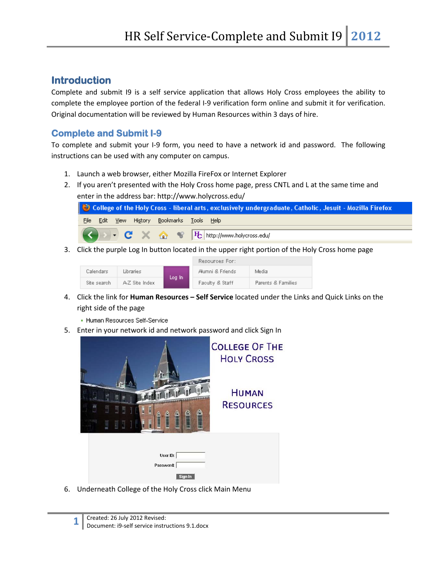# **Introduction**

Complete and submit I9 is a self service application that allows Holy Cross employees the ability to complete the employee portion of the federal I-9 verification form online and submit it for verification. Original documentation will be reviewed by Human Resources within 3 days of hire.

## **Complete and Submit I-9**

To complete and submit your I-9 form, you need to have a network id and password. The following instructions can be used with any computer on campus.

- 1. Launch a web browser, either Mozilla FireFox or Internet Explorer
- 2. If you aren't presented with the Holy Cross home page, press CNTL and L at the same time and enter in the address bar: http://www.holycross.edu/



3. Click the purple Log In button located in the upper right portion of the Holy Cross home page



- 4. Click the link for **Human Resources – Self Service** located under the Links and Quick Links on the right side of the page
	- Human Resources Self-Service
- 5. Enter in your network id and network password and click Sign In



6. Underneath College of the Holy Cross click Main Menu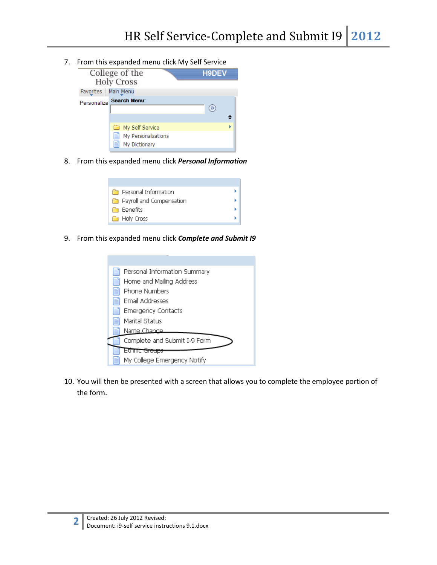7. From this expanded menu click My Self Service

| College of the<br><b>Holy Cross</b> |                                                              | H9DEV |
|-------------------------------------|--------------------------------------------------------------|-------|
| Favorites   Main Menu               |                                                              |       |
|                                     | Personalize Search Menu:                                     | ≫     |
|                                     | My Self Service<br>旨<br>My Personalizations<br>My Dictionary |       |

8. From this expanded menu click *Personal Information*

| <b>Personal Information</b>     |  |
|---------------------------------|--|
| <b>Payroll and Compensation</b> |  |
| <b>Benefits</b>                 |  |
| <b>E</b> Holy Cross             |  |
|                                 |  |

9. From this expanded menu click *Complete and Submit I9*



10. You will then be presented with a screen that allows you to complete the employee portion of the form.